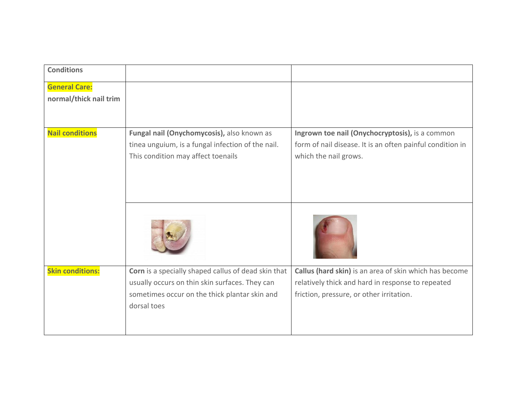| <b>Conditions</b>                              |                                                                                                                                                                       |                                                                                                                                                         |
|------------------------------------------------|-----------------------------------------------------------------------------------------------------------------------------------------------------------------------|---------------------------------------------------------------------------------------------------------------------------------------------------------|
| <b>General Care:</b><br>normal/thick nail trim |                                                                                                                                                                       |                                                                                                                                                         |
|                                                |                                                                                                                                                                       |                                                                                                                                                         |
| <b>Nail conditions</b>                         | Fungal nail (Onychomycosis), also known as<br>tinea unguium, is a fungal infection of the nail.<br>This condition may affect toenails                                 | Ingrown toe nail (Onychocryptosis), is a common<br>form of nail disease. It is an often painful condition in<br>which the nail grows.                   |
|                                                |                                                                                                                                                                       |                                                                                                                                                         |
| <b>Skin conditions:</b>                        | Corn is a specially shaped callus of dead skin that<br>usually occurs on thin skin surfaces. They can<br>sometimes occur on the thick plantar skin and<br>dorsal toes | Callus (hard skin) is an area of skin which has become<br>relatively thick and hard in response to repeated<br>friction, pressure, or other irritation. |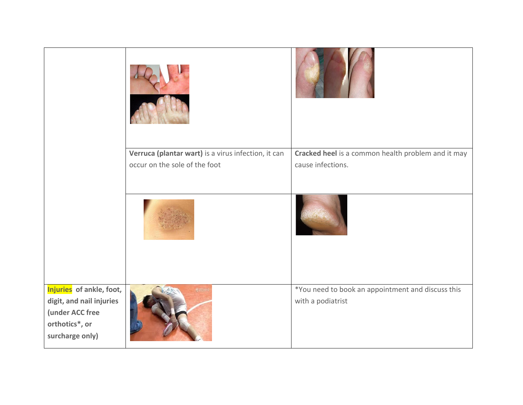|                                                                                                              | Verruca (plantar wart) is a virus infection, it can<br>occur on the sole of the foot | Cracked heel is a common health problem and it may<br>cause infections. |
|--------------------------------------------------------------------------------------------------------------|--------------------------------------------------------------------------------------|-------------------------------------------------------------------------|
|                                                                                                              |                                                                                      |                                                                         |
| Injuries of ankle, foot,<br>digit, and nail injuries<br>(under ACC free<br>orthotics*, or<br>surcharge only) |                                                                                      | *You need to book an appointment and discuss this<br>with a podiatrist  |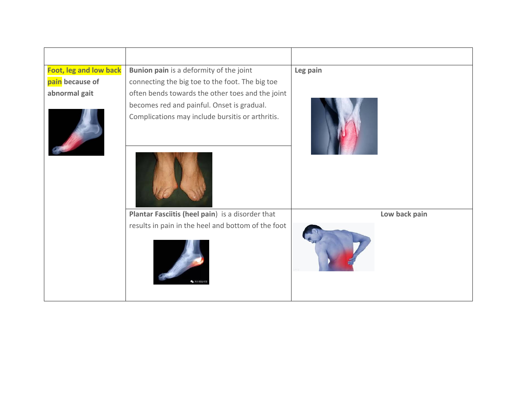| <b>Foot, leg and low back</b> | Bunion pain is a deformity of the joint                                                        | Leg pain      |
|-------------------------------|------------------------------------------------------------------------------------------------|---------------|
| pain because of               | connecting the big toe to the foot. The big toe                                                |               |
| abnormal gait                 | often bends towards the other toes and the joint                                               |               |
|                               | becomes red and painful. Onset is gradual.<br>Complications may include bursitis or arthritis. |               |
|                               | Plantar Fasciitis (heel pain) is a disorder that                                               | Low back pain |
|                               | results in pain in the heel and bottom of the foot                                             |               |
|                               | ● 海乐樱运动话                                                                                       |               |